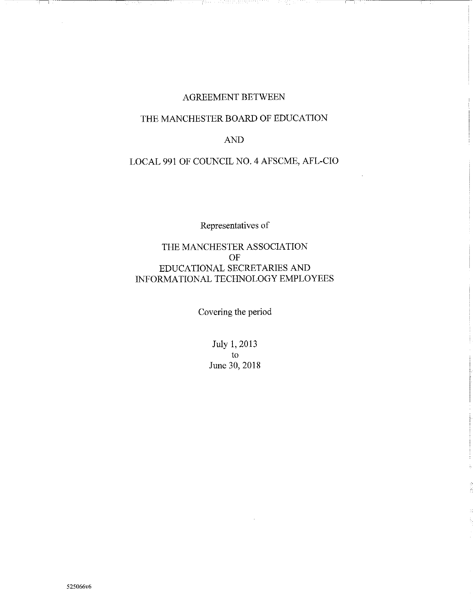#### AGREEMENT BETWEEN

i da ke kiriyê galan alan xwengan

구하였다.

antina.

# THE MANCHESTER BOARD OF EDUCATION

#### AND

# LOCAL 991 OF COUNCIL NO.4 AFSCME, AFL-CIO

Representatives of

# THE MANCHESTER ASSOCIATION OF EDUCATIONAL SECRETARIES AND INFORMATIONAL TECHNOLOGY EMPLOYEES

Covering the period

July 1, 2013 to June 30,2018

Ŧ π, ੇ ਇਹ ਪੇਸ਼ ਦਾ ਸ਼ਾਮ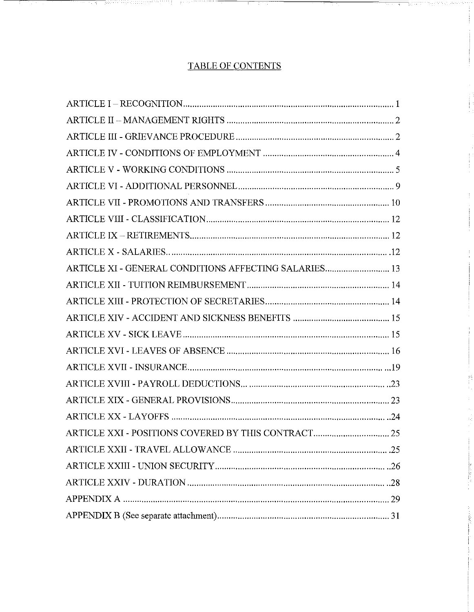# TABLE OF CONTENTS

an mara

BS:

ada ay isang mga bago

an and speech medicinity of the state

| ARTICLE XI - GENERAL CONDITIONS AFFECTING SALARIES 13 |
|-------------------------------------------------------|
|                                                       |
|                                                       |
|                                                       |
|                                                       |
|                                                       |
|                                                       |
|                                                       |
|                                                       |
|                                                       |
|                                                       |
|                                                       |
|                                                       |
|                                                       |
|                                                       |
|                                                       |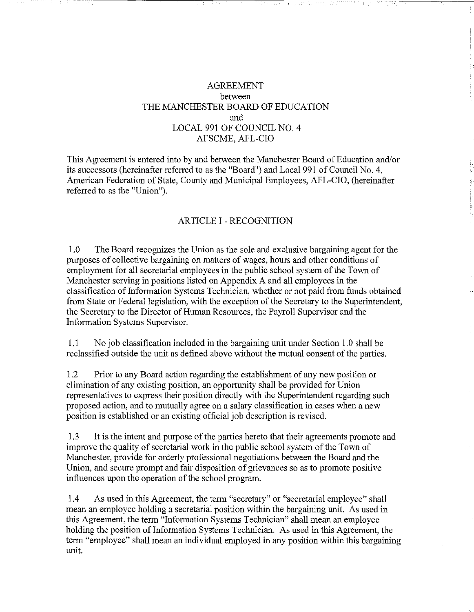### AGREEMENT between THE MANCHESTER BOARD OF EDUCATION and LOCAL 991 OF COUNCIL NO. 4 AFSCME, AFL-CIO

This Agreement is entered into by and between the Manchester Board of Education and/or its successors (hereinafter referred to as the "Board") and Local 991 of Council No.4, American Federation of State, County and Municipal Employees, AFL-CIO, (hereinafter referred to as the "Union").

#### ARTICLE I- RECOGNITION

1.0 The Board recognizes the Union as the sole and exclusive bargaining agent for the purposes of collective bargaining on matters of wages, hours and other conditions of employment for all secretarial employees in the public school system of the Town of Manchester serving in positions listed on Appendix A and all employees in the classification of Information Systems Technician, whether or not paid from funds obtained from State or Federal legislation, with the exception of the Secretary to the Superintendent, the Secretary to the Director of Human Resources, the Payroll Supervisor and the Information Systems Supervisor.

1.1 No job classification included in the bargaining unit under Section 1.0 shall be reclassified outside the unit as defined above without the mutual consent of the parties.

1.2 Prior to any Board action regarding the establishment of any new position or elimination of any existing position, an opportunity shall be provided for Union representatives to express their position directly with the Superintendent regarding such proposed action, and to mutually agree on a salary classification in cases when a new position is established or an existing official job description is revised.

1.3 It is the intent and purpose of the parties hereto that their agreements promote and improve the quality of secretarial work in the public school system of the Town of Manchester, provide for orderly professional negotiations between the Board and the Union, and secure prompt and fair disposition of grievances so as to promote positive influences upon the operation of the school program.

1.4 As used in this Agreement, the term "secretary" or "secretarial employee" shall mean an employee holding a secretarial position within the bargaining unit. As used in this Agreement, the term "Information Systems Technician" shall mean an employee holding the position of Information Systems Technician. As used in this Agreement, the term "employee" shall mean an individual employed in any position within this bargaining unit.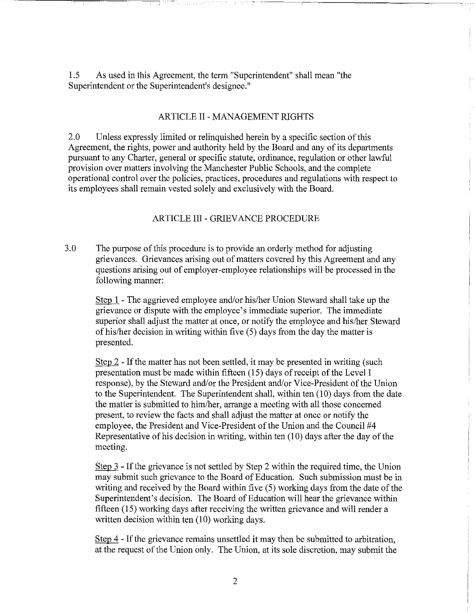1.5 As used in this Agreement, the term "Superintendent" shall mean "the Superintendent or the Superintendent's designee."

#### ARTICLE II- MANAGEMENT RIGHTS

2.0 Unless expressly limited or relinquished herein by a specific section of this Agreement, the rights, power and authority held by the Board and any of its departments pursuant to any Charter, general or specific statute, ordinance, regulation or other lawful provision over matters involving the Manchester Public Schools, and the complete operational control over the policies, practices, procedures and regulations with respect to its employees shall remain vested solely and exclusively with the Board.

#### ARTICLE III- GRIEVANCE PROCEDURE

3.0 The purpose of this procedure is to provide an orderly method for adjusting grievances. Grievances arising out of matters covered by this Agreement and any questions arising out of employer-employee relationships will be processed in the following manner:

Step 1 - The aggrieved employee and/or his/her Union Steward shall take up the grievance or dispute with the employee's immediate superior. The immediate superior shall adjust the matter at once, or notify the employee and his/her Steward of his/her decision in writing within five (5) days from the day the matter is presented.

Step 2 - If the matter has not been settled, it may be presented in writing (such presentation must be made within fifteen (15) days of receipt of the Level I response), by the Steward and/or the President and/or Vice-President of the Union to the Superintendent. The Superintendent shall, within ten (10) days from the date the matter is submitted to him/her, arrange a meeting with all those concerned present, to review the facts and shall adjust the matter at once or notify the employee, the President and Vice-President of the Union and the Council #4 Representative of his decision in writing, within ten (10) days after the day of the meeting.

Step 3 - If the grievance is not settled by Step 2 within the required time, the Union may submit such grievance to the Board of Education. Such submission must be in writing and received by the Board within five (5) working days from the date of the Superintendent's decision. The Board of Education will hear the grievance within fifteen (15) working days after receiving the written grievance and will render a written decision within ten  $(10)$  working days.

Step 4 - If the grievance remains unsettled it may then be submitted to arbitration, at the request of the Union only. The Union, at its sole discretion, may submit the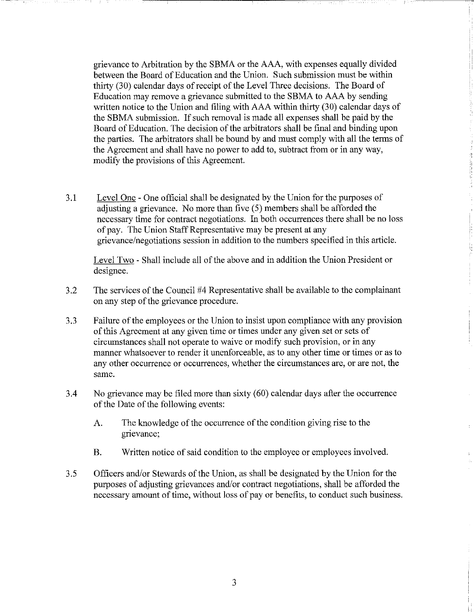grievance to Arbitration by the SBMA or the AAA, with expenses equally divided between the Board of Education and the Union. Such submission must be within thirty (30) calendar days of receipt of the Level Three decisions. The Board of Education may remove a grievance submitted to the SBMA to AAA by sending written notice to the Union and filing with AAA within thirty (30) calendar days of the SBMA submission. If such removal is made all expenses shall be paid by the Board of Education. The decision of the arbitrators shall be final and binding upon the parties. The arbitrators shall be bound by and must comply with all the terms of the Agreement and shall have no power to add to, subtract from or in any way, modify the provisions of this Agreement.

3.1 Level One - One official shall be designated by the Union for the purposes of adjusting a grievance. No more than five (5) members shall be afforded the necessary time for contract negotiations. In both occurrences there shall be no loss of pay. The Union Staff Representative may be present at any grievance/negotiations session in addition to the numbers specified in this article.

Level Two- Shall include all of the above and in addition the Union President or designee.

- 3.2 The services of the Council #4 Representative shall be available to the complainant on any step of the grievance procedure.
- 3.3 Failure of the employees or the Union to insist upon compliance with any provision of this Agreement at any given time or times under any given set or sets of circumstances shall not operate to waive or modify such provision, or in any manner whatsoever to render it unenforceable, as to any other time or times or as to any other occurrence or occurrences, whether the circumstances are, or are not, the same.
- 3.4 No grievance may be filed more than sixty (60) calendar days after the occurrence of the Date of the following events:
	- A. The knowledge of the occurrence of the condition giving rise to the grievance;
	- B. Written notice of said condition to the employee or employees involved.
- 3.5 Officers and/or Stewards of the Union, as shall be designated by the Union for the purposes of adjusting grievances and/or contract negotiations, shall be afforded the necessary amount of time, without loss of pay or benefits, to conduct such business.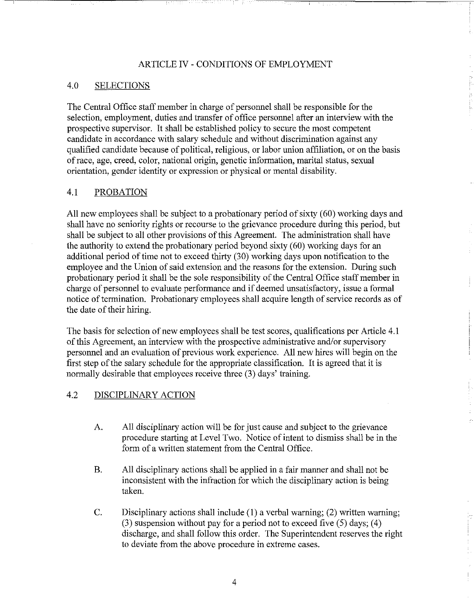### ARTICLE IV - CONDITIONS OF EMPLOYMENT

#### 4.0 SELECTIONS

The Central Office staff member in charge of personnel shall be responsible for the selection, employment, duties and transfer of office personnel after an interview with the prospective supervisor. It shall be established policy to secure the most competent candidate in accordance with salary schedule and without discrimination against any qualified candidate because of political, religious, or labor union affiliation, or on the basis of race, age, creed, color, national origin, genetic information, marital status, sexual orientation, gender identity or expression or physical or mental disability.

#### 4.1 PROBATION

All new employees shall be subject to a probationary period of sixty (60) working days and shall have no seniority rights or recourse to the grievance procedure during this period, but shall be subject to all other provisions of this Agreement. The administration shall have the authority to extend the probationary period beyond sixty (60) working days for an additional period of time not to exceed thirty (30) working days upon notification to the employee and the Union of said extension and the reasons for the extension. During such probationary period it shall be the sole responsibility of the Central Office staff member in charge of personnel to evaluate performance and if deemed unsatisfactory, issue a formal notice of termination. Probationary employees shall acquire length of service records as of the date of their hiring.

The basis for selection of new employees shall be test scores, qualifications per Article 4.1 of this Agreement, an interview with the prospective administrative and/or supervisory personnel and an evaluation of previous work experience. All new hires will begin on the first step of the salary schedule for the appropriate classification. It is agreed that it is normally desirable that employees receive three (3) days' training.

#### 4.2 DISCIPLINARY ACTION

- A. All disciplinary action will be for just cause and subject to the grievance procedure starting at Level Two. Notice of intent to dismiss shall be in the form of a written statement from the Central Office.
- B. All disciplinary actions shall be applied in a fair manner and shall not be inconsistent with the infraction for which the disciplinary action is being taken.
- C. Disciplinary actions shall include (1) a verbal warning; (2) written warning; (3) suspension without pay for a period not to exceed five (5) days; (4) discharge, and shall follow this order. The Superintendent reserves the right to deviate from the above procedure in extreme cases.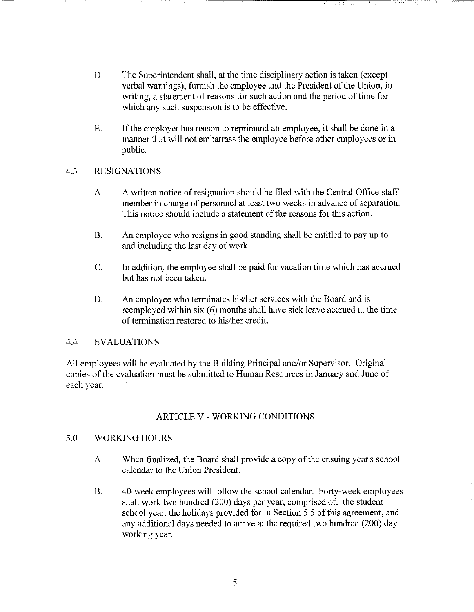- D. The Superintendent shall, at the time disciplinary action is taken (except verbal warnings), furnish the employee and the President of the Union, in writing, a statement of reasons for such action and the period of time for which any such suspension is to be effective.
- E. If the employer has reason to reprimand an employee, it shall be done in a manner that will not embarrass the employee before other employees or in public.

### 4.3 RESIGNATIONS

- A. A written notice of resignation should be filed with the Central Office staff member in charge of personnel at least two weeks in advance of separation. This notice should include a statement of the reasons for this action.
- B. An employee who resigns in good standing shall be entitled to pay up to and including the last day of work.
- C. In addition, the employee shall be paid for vacation time which has accrued but has not been talcen.
- D. An employee who terminates his/her services with the Board and is reemployed within six  $(6)$  months shall have sick leave accrued at the time of termination restored to his/her credit.

### 4.4 EVALUATIONS

All employees will be evaluated by the Building Principal and/or Supervisor. Original copies of the evaluation must be submitted to Human Resources in January and June of each year.

# ARTICLE V - WORKING CONDITIONS

### 5.0 WORKING HOURS

- A. When finalized, the Board shall provide a copy of the ensuing year's school calendar to the Union President.
- B. 40-week employees will follow the school calendar. Forty-week employees shall work two hundred (200) days per year, comprised of: the student school year, the holidays provided for in Section 5.5 of this agreement, and any additional days needed to arrive at the required two hundred (200) day working year.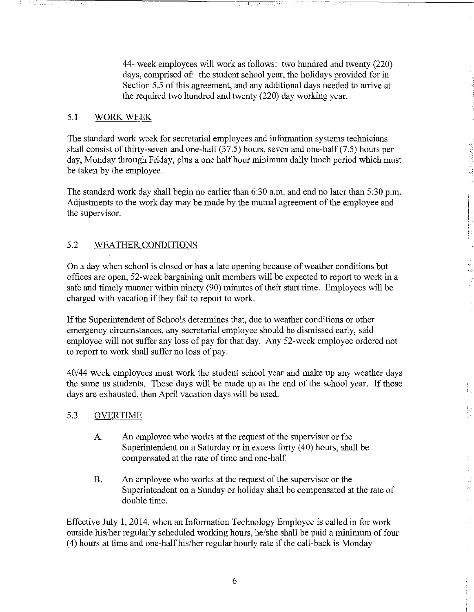44- week employees will work as follows: two hundred and twenty (220) days, comprised of: the student school year, the holidays provided for in Section 5.5 of this agreement, and any additional days needed to arrive at the required two hundred and twenty (220) day working year.

#### 5.1 WORK WEEK

The standard work week for secretarial employees and information systems technicians shall consist of thirty-seven and one-half  $(37.5)$  hours, seven and one-half  $(7.5)$  hours per day, Monday through Friday, plus a one half hour minimum daily lunch period which must be taken by the employee.

The standard work day shall begin no earlier than 6:30 a.m. and end no later than 5:30 p.m. Adjustments to the work day may be made by the mutual agreement of the employee and the supervisor.

# 5.2 WEATHER CONDITIONS

On a day when school is closed or has a late opening because of weather conditions but offices are open, 52-week bargaining unit members will be expected to report to work in a safe and timely marmer within ninety (90) minutes of their start time. Employees will be charged with vacation if they fail to report to work.

If the Superintendent of Schools determines that, due to weather conditions or other emergency circumstances, any secretarial employee should be dismissed early, said employee will not suffer any loss of pay for that day. Any 52-week employee ordered not to report to work shall suffer no loss of pay.

40/44 week employees must work the student school year and make up any weather days the same as students. These days will be made up at the end of the school year. If those days are exhausted, then April vacation days will be used.

#### 5.3 OVERTIME

- A. An employee who works at the request of the supervisor or the Superintendent on a Saturday or in excess forty (40) hours, shall be compensated at the rate of time and one-half.
- B. An employee who works at the request of the supervisor or the Superintendent on a Sunday or holiday shall be compensated at the rate of double time.

Effective July 1, 2014, when an Information Technology Employee is called in for work outside his/her regularly scheduled working hours, he/she shall be paid a minimum of four (4) hours at time and one-half his/her regular hourly rate if the call-back is Monday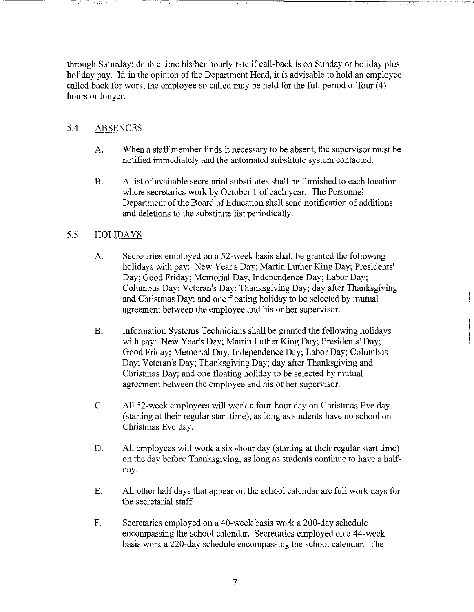through Saturday; double time his/her hourly rate if call-back is on Sunday or holiday plus holiday pay. If, in the opinion of the Department Head, it is advisable to hold an employee called back for work, the employee so called may be held for the full period of four (4) hours or longer.

# 5.4 ABSENCES

- A. When a staff member finds it necessary to be absent, the supervisor must be notified immediately and the automated substitute system contacted.
- B. A list of available secretarial substitutes shall be furnished to each location where secretaries work by October I of each year. The Personnel Department of the Board of Education shall send notification of additions and deletions to the substitute list periodically.

# 5.5 HOLIDAYS

- A. Secretaries employed on a 52-week basis shall be granted the following holidays with pay: New Year's Day; Martin Luther King Day; Presidents' Day; Good Friday; Memorial Day, Independence Day; Labor Day; Columbus Day; Veteran's Day; Thanksgiving Day; day after Thanksgiving and Christmas Day; and one floating holiday to be selected by mutual agreement between the employee and his or her supervisor.
- B. Information Systems Technicians shall be granted the following holidays with pay: New Year's Day; Martin Luther King Day; Presidents' Day; Good Friday; Memorial Day, Independence Day; Labor Day; Columbus Day; Veteran's Day; Thanksgiving Day; day after Thanksgiving and Christmas Day; and one floating holiday to be selected by mutual agreement between the employee and his or her supervisor.
- C. All 52-week employees will work a four-hour day on Christmas Eve day (starting at their regular start time), as long as students have no school on Christmas Eve day.
- D. All employees will work a six -hour day (starting at their regular start time) on the day before Thanksgiving, as long as students continue to have a halfday.
- E. All other half days that appear on the school calendar are full work days for the secretarial staff.
- F. Secretaries employed on a 40-week basis work a 200-day schedule encompassing the school calendar. Secretaries employed on a 44-week basis work a 220-day schedule encompassing the school calendar. The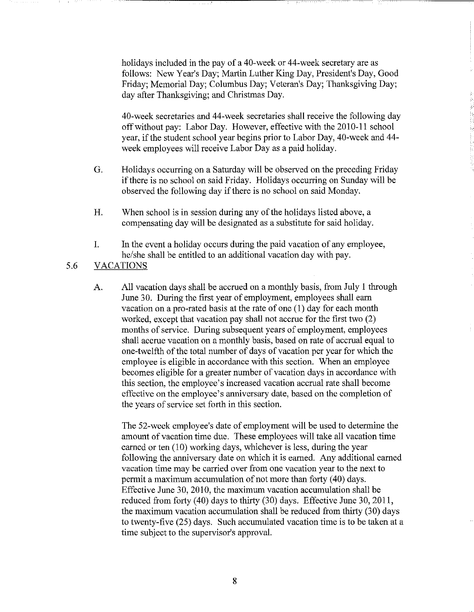holidays included in the pay of a 40-week or 44-week secretary are as follows: New Year's Day; Martin Luther King Day, President's Day, Good Friday; Memorial Day; Columbus Day; Veteran's Day; Thanksgiving Day; day after Thanksgiving; and Christmas Day.

--------------------------~--~----------~~---- --------

40-week secretaries and 44-week secretaries shall receive the following day off without pay: Labor Day. However, effective with the 2010-11 school year, if the student school year begins prior to Labor Day, 40-week and 44 week employees will receive Labor Day as a paid holiday.

- G. Holidays occurring on a Saturday will be observed on the preceding Friday ifthere is no school on said Friday. Holidays occurring on Sunday will be observed the following day if there is no school on said Monday.
- H. When school is in session during any of the holidays listed above, a compensating day will be designated as a substitute for said holiday.
- I. In the event a holiday occurs during the paid vacation of any employee, he/she shall be entitled to an additional vacation day with pay.

# 5.6 VACATIONS

A. All vacation days shall be accrued on a monthly basis, from July 1 through June 30. During the first year of employment, employees shall earn vacation on a pro-rated basis at the rate of one (1) day for each month worked, except that vacation pay shall not accrue for the first two (2) months of service. During subsequent years of employment, employees shall accrue vacation on a monthly basis, based on rate of accrual equal to one-twelfth of the total number of days of vacation per year for which the employee is eligible in accordance with this section. When an employee becomes eligible for a greater number of vacation days in accordance with this section, the employee's increased vacation accrual rate shall become effective on the employee's anniversary date, based on the completion of the years of service set forth in this section.

The 52-week employee's date of employment will be used to determine the amount of vacation time due. These employees will take all vacation time earned or ten  $(10)$  working days, whichever is less, during the year following the anniversary date on which it is earned. Any additional earned vacation time may be carried over from one vacation year to the next to permit a maximum accumulation of not more than forty (40) days. Effective June 30,2010, the maximum vacation accumulation shall be reduced from forty (40) days to thirty (30) days. Effective June 30,2011, the maximum vacation accumulation shall be reduced from thirty (30) days to twenty-five (25) days. Such accumulated vacation time is to be taken at a time subject to the supervisor's approval.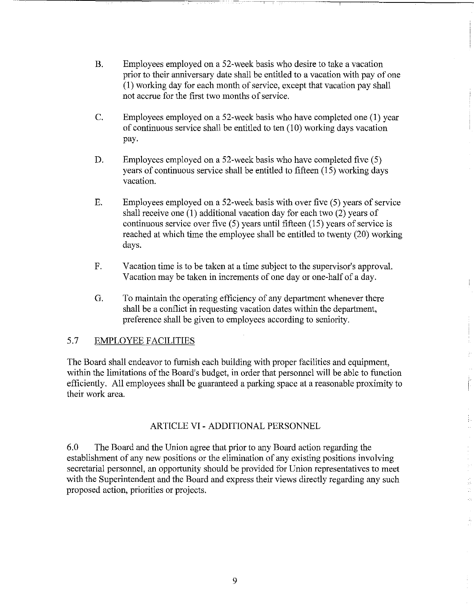- B. Employees employed on a 52-week basis who desire to take a vacation prior to their anniversary date shall be entitled to a vacation with pay of one (1) working day for each month of service, except that vacation pay shall not accrue for the first two months of service.
- C. Employees employed on a 52-week basis who have completed one (1) year of continuous service shall be entitled to ten  $(10)$  working days vacation pay.
- D. Employees employed on a 52-week basis who have completed five (5) years of continuous service shall be entitled to fifteen (15) working days vacation.
- E. Employees employed on a 52-week basis with over five (5) years of service shall receive one (1) additional vacation day for each two (2) years of continuous service over five (5) years until fifteen (15) years of service is reached at which time the employee shall be entitled to twenty (20) working days.
- F. Vacation time is to be taken at a time subject to the supervisor's approval. Vacation may be taken in increments of one day or one-half of a day.
- G. To maintain the operating efficiency of any department whenever there shall be a conflict in requesting vacation dates within the department, preference shall be given to employees according to seniority.

### 5.7 EMPLOYEE FACILITIES

The Board shall endeavor to furnish each building with proper facilities and equipment, within the limitations of the Board's budget, in order that personnel will be able to function efficiently. All employees shall be guaranteed a parking space at a reasonable proximity to their work area.

#### ARTICLE VI- ADDITIONAL PERSONNEL

6.0 The Board and the Union agree that prior to any Board action regarding the establishment of any new positions or the elimination of any existing positions involving secretarial personnel, an opportunity should be provided for Union representatives to meet with the Superintendent and the Board and express their views directly regarding any such proposed action, priorities or projects.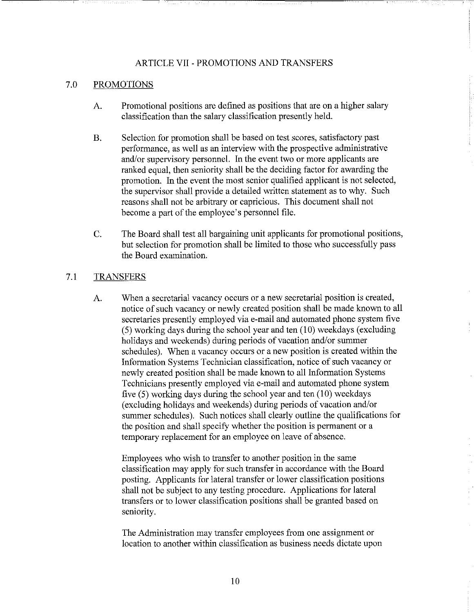#### ARTICLE VII - PROMOTIONS AND TRANSFERS

 $-1.5$ 

#### 7.0 PROMOTIONS

- A. Promotional positions are defined as positions that are on a higher salary classification than the salary classification presently held.
- B. Selection for promotion shall be based on test scores, satisfactory past performance, as well as an interview with the prospective administrative and/or supervisory personnel. In the event two or more applicants are ranked equal, then seniority shall be the deciding factor for awarding the promotion. In the event the most senior qualified applicant is not selected, the supervisor shall provide a detailed written statement as to why. Such reasons shall not be arbitrary or capricious. This document shall not become a part of the employee's personnel file.
- C. The Board shall test all bargaining unit applicants for promotional positions, but selection for promotion shall be limited to those who successfully pass the Board examination.

#### 7.1 TRANSFERS

A. When a secretarial vacancy occurs or a new secretarial position is created, notice of such vacancy or newly created position shall be made known to all secretaries presently employed via e-mail and automated phone system five (5) working days during the school year and ten (10) weekdays (excluding holidays and weekends) during periods of vacation and/or summer schedules). When a vacancy occurs or a new position is created within the Information Systems Technician classification, notice of such vacancy or newly created position shall be made known to all Information Systems Technicians presently employed via e-mail and automated phone system five (5) working days during the school year and ten (10) weekdays (excluding holidays and weekends) during periods of vacation and/or sunnner schedules). Such notices shall clearly outline the qualifications for the position and shall specify whether the position is permanent or a temporary replacement for an employee on leave of absence.

Employees who wish to transfer to another position in the same classification may apply for such transfer in accordance with the Board posting. Applicants for lateral transfer or lower classification positions shall not be subject to any testing procedure. Applications for lateral transfers or to lower classification positions shall be granted based on seniority.

The Administration may transfer employees from one assigmnent or location to another within classification as business needs dictate upon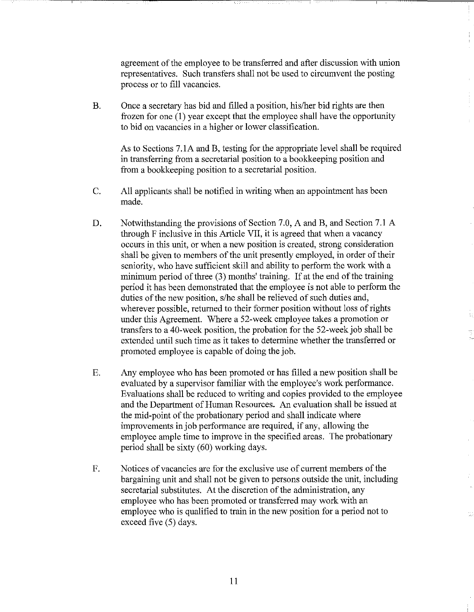agreement of the employee to be transferred and after discussion with union representatives. Such transfers shall not be used to circumvent the posting process or to fill vacancies.

B. Once a secretary has bid and filled a position, his/her bid rights are then frozen for one (1) year except that the employee shall have the opportunity to bid on vacancies in a higher or lower classification.

As to Sections 7.1A and B, testing for the appropriate level shall be required in transferring from a secretarial position to a bookkeeping position and from a bookkeeping position to a secretarial position.

- C. All applicants shall be notified in writing when an appointment has been made.
- D. Notwithstanding the provisions of Section 7.0, A and B, and Section 7.1 A through F inclusive in this Article VII, it is agreed that when a vacancy occurs in this unit, or when a new position is created, strong consideration shall be given to members of the unit presently employed, in order of their seniority, who have sufficient skill and ability to perform the work with a minimum period of three (3) months' training. If at the end of the training period it has been demonstrated that the employee is not able to perform the duties of the new position, s/he shall be relieved of such duties and, wherever possible, returned to their former position without loss of rights under this Agreement. Where a 52-week employee takes a promotion or transfers to a 40-week position, the probation for the 52-week job shall be extended until such time as it takes to determine whether the transferred or promoted employee is capable of doing the job.
- E. Any employee who has been promoted or has filled a new position shall be evaluated by a supervisor familiar with the employee's work performance. Evaluations shall be reduced to writing and copies provided to the employee and the Department of Human Resources. An evaluation shall be issued at the mid-point of the probationary period and shall indicate where improvements in job performance are required, if any, allowing the employee ample time to improve in the specified areas. The probationary period shall be sixty  $(60)$  working days.
- F. Notices of vacancies are for the exclusive use of current members of the bargaining unit and shall not be given to persons outside the unit, including secretarial substitutes. At the discretion of the administration, any employee who has been promoted or transferred may work with an employee who is qualified to train in the new position for a period not to exceed five  $(5)$  days.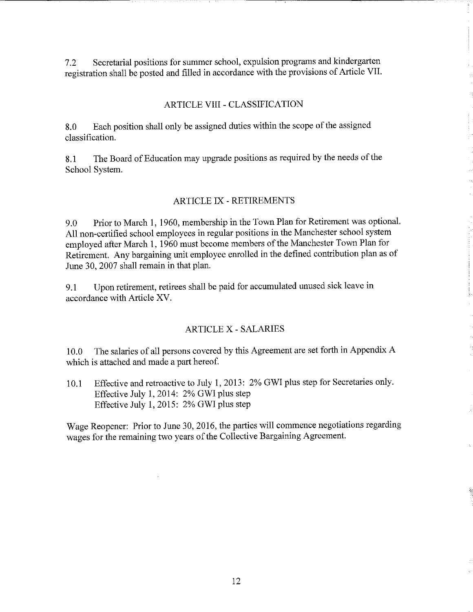7.2 Secretarial positions for summer school, expulsion programs and kindergarten registration shall be posted and filled in accordance with the provisions of Article VII.

# ARTICLE VIII - CLASSIFICATION

8.0 Each position shall only be assigned duties within the scope of the assigned classification.

8.1 The Board of Education may upgrade positions as required by the needs of the School System.

### ARTICLE IX- RETIREMENTS

9.0 Prior to March **1,** 1960, membership in the Town Plan for Retirement was optional. All non-certified school employees in regular positions in the Manchester school system employed after March **1,** 1960 must become members of the Manchester Town Plan for Retirement. Any bargaining unit employee emolled in the defined contribution plan as of June 30, 2007 shall remain in that plan.

9.1 Upon retirement, retirees shall be paid for accumulated unused sick leave in accordance with Article XV.

### ARTICLE X- SALARIES

10.0 The salaries of all persons covered by this Agreement are set forth in Appendix A which is attached and made a part hereof.

10.1 Effective and retroactive to July **1,** 2013: 2% GWI plus step for Secretaries only. Effective July **1,** 2014: 2% GWI plus step Effective July **1,** 2015: 2% GWI plus step

Wage Reopener: Prior to June 30, 2016, the parties will commence negotiations regarding wages for the remaining two years of the Collective Bargaining Agreement.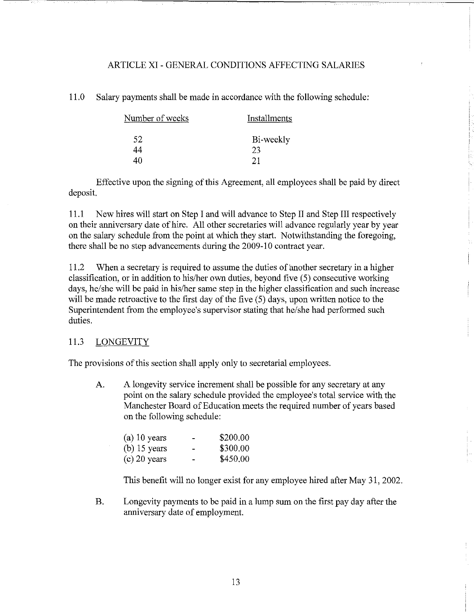#### ARTICLE XI- GENERAL CONDITIONS AFFECTING SALARIES

11.0 Salary payments shall be made in accordance with the following schedule:

| Number of weeks | Installments |  |  |
|-----------------|--------------|--|--|
| 52              | Bi-weekly    |  |  |
| 44              | 23           |  |  |
| 4በ              | 21           |  |  |

Effective upon the signing of this Agreement, all employees shall be paid by direct deposit.

11.1 New hires will start on Step I and will advance to Step II and Step III respectively on their anniversary date of hire. All other secretaries will advance regularly year by year on the salary schedule from the point at which they start. Notwithstanding the foregoing, there shall be no step advancements during the 2009-10 contract year.

11.2 When a secretary is required to assume the duties of another secretary in a higher classification, or in addition to his/her own duties, beyond five (5) consecutive working days, he/she will be paid in his/her same step in the higher classification and such increase will be made retroactive to the first day of the five (5) days, upon written notice to the Superintendent from the employee's supervisor stating that he/she had performed such duties.

#### 11.3 LONGEVITY

The provisions of this section shall apply only to secretarial employees.

A. A longevity service increment shall be possible for any secretary at any point on the salary schedule provided the employee's total service with the Manchester Board of Education meets the required number of years based on the following schedule:

| $(a)$ 10 years | -                        | \$200.00 |
|----------------|--------------------------|----------|
| $(b)$ 15 years | $\overline{\phantom{0}}$ | \$300.00 |
| $(c)$ 20 years | $\blacksquare$           | \$450.00 |

This benefit will no longer exist for any employee hired after May 31, 2002.

B. Longevity payments to be paid in a lump sum on the first pay day after the anniversary date of employment.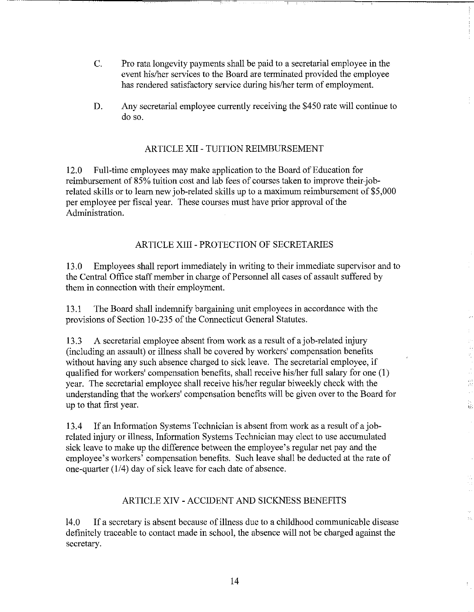- C. Pro rata longevity payments shall be paid to a secretarial employee in the event his/her services to the Board are terminated provided the employee has rendered satisfactory service during his/her term of employment.
- D. Any secretarial employee currently receiving the \$450 rate will continue to do so.

### ARTICLE XII- TUITION REIMBURSEMENT

12.0 Full-time employees may make application to the Board of Education for reimbursement of 85% tuition cost and lab fees of courses taken to improve their-jobrelated skills or to learn new job-related skills up to a maximum reimbursement of \$5,000 per employee per fiscal year. These courses must have prior approval of the Administration.

# ARTICLE XIII- PROTECTION OF SECRETARIES

13.0 Employees shall report immediately in writing to their immediate supervisor and to the Central Office staff member in charge of Personnel all cases of assault suffered by them in connection with their employment.

13.1 The Board shall indemnify bargaining unit employees in accordance with the provisions of Section 10-235 of the Connecticut General Statutes.

13.3 A secretarial employee absent from work as a result of a job-related injury (including an assault) or illness shall be covered by workers' compensation benefits without having any such absence charged to sick leave. The secretarial employee, if qualified for workers' compensation benefits, shall receive his/her full salary for one (1) year. The secretarial employee shall receive his/her regular biweekly check with the understanding that the workers' compensation benefits will be given over to the Board for up to that first year.

13.4 If an Information Systems Technician is absent from work as a result of a jobrelated injury or illness, Information Systems Technician may elect to use accumulated sick leave to make up the difference between the employee's regular net pay and the employee's workers' compensation benefits. Such leave shall be deducted at the rate of one-quarter (114) day of sick leave for each date of absence.

### ARTICLE XIV- ACCIDENT AND SICKNESS BENEFITS

14.0 If a secretary is absent because of illness due to a childhood communicable disease definitely traceable to contact made in school, the absence will not be charged against the secretary.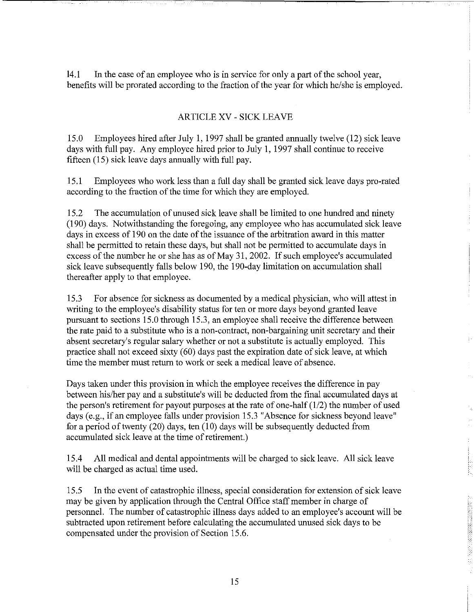14.1 In the case of an employee who is in service for only a part of the school year, benefits will be prorated according to the fraction of the year for which he/she is employed.

#### ARTICLE XV- SICK LEAVE

15.0 Employees hired after July 1, 1997 shall be granted annually twelve (12) sick leave days with full pay. Any employee hired prior to July 1, 1997 shall continue to receive fifteen (15) sick leave days annually with full pay.

15.1 Employees who work less than a full day shall be granted sick leave days pro-rated according to the fraction of the time for which they are employed.

15.2 The accumulation of unused sick leave shall be limited to one hundred and ninety (190) days. Notwithstanding the foregoing, any employee who has accumulated sick leave days in excess of 190 on the date of the issuance of the arbitration award in this matter shall be permitted to retain these days, but shall not be permitted to accumulate days in excess of the number he or she has as of May 31, 2002. If such employee's accumulated sick leave subsequently falls below 190, the 190-day limitation on accumulation shall thereafter apply to that employee.

15.3 For absence for sickness as documented by a medical physician, who will attest in writing to the employee's disability status for ten or more days beyond granted leave pursuant to sections 15.0 through 15.3, an employee shall receive the difference between the rate paid to a substitute who is a non-contract, non-bargaining unit secretary and their absent secretary's regular salary whether or not a substitute is actually employed. This practice shall not exceed sixty (60) days past the expiration date of sick leave, at which time the member must return to work or seek a medical leave of absence.

Days taken under this provision in which the employee receives the difference in pay between his/her pay and a substitute's will be deducted from the final accumulated days at the person's retirement for payout purposes at the rate of one-half  $(1/2)$  the number of used days (e.g., if an employee falls under provision 15.3 "Absence for sickness beyond leave" for a period of twenty (20) days, ten  $(10)$  days will be subsequently deducted from accumulated sick leave at the time of retirement.)

15.4 All medical and dental appointments will be charged to sick leave. All sick leave will be charged as actual time used.

15.5 In the event of catastrophic illness, special consideration for extension of sick leave may be given by application through the Central Office staff member in charge of personnel. The number of catastrophic illness days added to an employee's account will be subtracted upon retirement before calculating the accumulated unused sick days to be compensated under the provision of Section 15.6.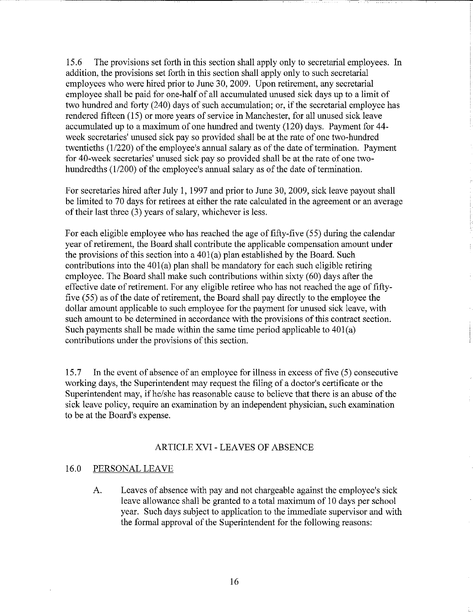15.6 The provisions set forth in this section shall apply only to secretarial employees. In addition, the provisions set forth in this section shall apply only to such secretarial employees who were hired prior to June 30, 2009. Upon retirement, any secretarial employee shall be paid for one-half of all accumulated unused sick days up to a limit of two hundred and forty (240) days of such accumulation; or, if the secretarial employee has rendered fifteen (15) or more years of service in Manchester, for all unused sick leave accumulated up to a maximum of one hundred and twenty (120) days. Payment for 44 week secretaries' unused sick pay so provided shall be at the rate of one two-hundred twentieths (1/220) of the employee's annual salary as of the date of termination. Payment for 40-week secretaries' unused sick pay so provided shall be at the rate of one twohundredths (1/200) of the employee's annual salary as of the date of termination.

For secretaries hired after July 1, 1997 and prior to June 30, 2009, sick leave payout shall be limited to 70 days for retirees at either the rate calculated in the agreement or an average of their last three (3) years of salary, whichever is less.

For each eligible employee who has reached the age of fifty-five (55) during the calendar year of retirement, the Board shall contribute the applicable compensation amount under the provisions of this section into a  $401(a)$  plan established by the Board. Such contributions into the 401(a) plan shall be mandatory for each such eligible retiring employee. The Board shall make such contributions within sixty (60) days after the effective date of retirement. For any eligible retiree who has not reached the age of fiftyfive (55) as of the date of retirement, the Board shall pay directly to the employee the dollar amount applicable to such employee for the payment for unused sick leave, with such amount to be determined in accordance with the provisions of this contract section. Such payments shall be made within the same time period applicable to 401(a) contributions under the provisions of this section.

15.7 In the event of absence of an employee for illness in excess of five (5) consecutive working days, the Superintendent may request the filing of a doctor's certificate or the Superintendent may, if he/she has reasonable cause to believe that there is an abuse of the sick leave policy, require an examination by an independent physician, such examination to be at the Board's expense.

#### ARTICLE XVI - LEAVES OF ABSENCE

#### 16.0 PERSONAL LEAVE

A. Leaves of absence with pay and not chargeable against the employee's sick leave allowance shall be granted to a total maximum of 10 days per school year. Such days subject to application to the immediate supervisor and with the formal approval of the Superintendent for the following reasons: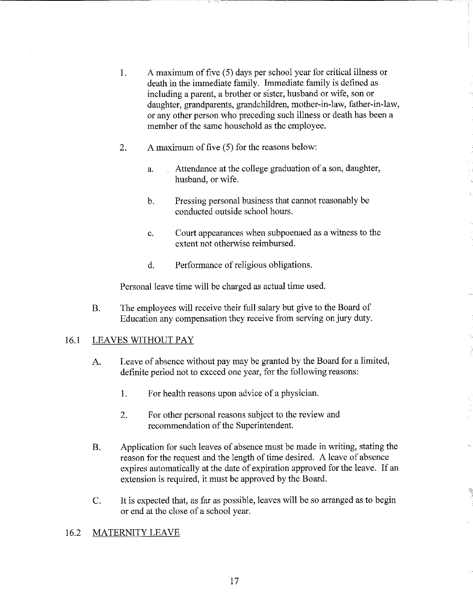- 1. A maximum of five (5) days per school year for critical illness or death in the immediate family. Immediate family is defined as including a parent, a brother or sister, husband or wife, son or daughter, grandparents, grandchildren, mother-in-law, father-in-law, or any other person who preceding such illness or death has been a member of the same household as the employee.
- 2. A maximum of five (5) for the reasons below:
	- a. Attendance at the college graduation of a son, daughter, husband, or wife.
	- b. Pressing personal business that carmot reasonably be conducted outside school hours.
	- c. Court appearances when subpoenaed as a witness to the extent not otherwise reimbursed.
	- d. Performance of religious obligations.

Personal leave time will be charged as actual time used.

B. The employees will receive their full salary but give to the Board of Education any compensation they receive from serving on jury duty.

### 16.1 LEAVES WITHOUT PAY

- A. Leave of absence without pay may be granted by the Board for a limited, definite period not to exceed one year, for the following reasons:
	- 1. For health reasons upon advice of a physician.
	- 2. For other personal reasons subject to the review and recommendation of the Superintendent.
- B. Application for such leaves of absence must be made in writing, stating the reason for the request and the length of time desired. A leave of absence expires automatically at the date of expiration approved for the leave. If an extension is required, it must be approved by the Board.
- C. It is expected that, as far as possible, leaves will be so arranged as to begin or end at the close of a school year.

--;o.-

### 16.2 MATERNITY LEAVE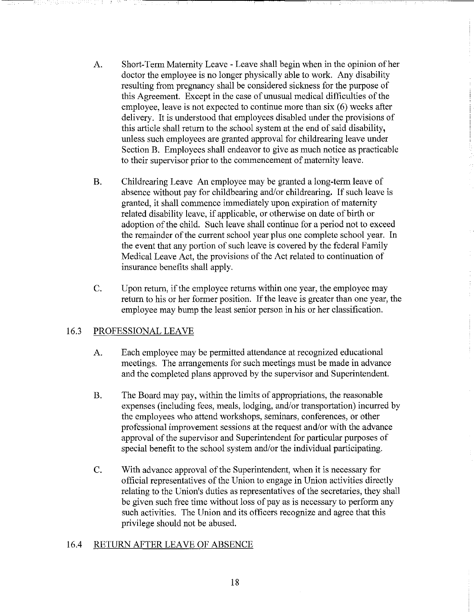- A. Short-Term Maternity Leave- Leave shall begin when in the opinion of her doctor the employee is no longer physically able to work. Any disability resulting from pregnancy shall be considered sickness for the purpose of this Agreement. Except in the case of unusual medical difficulties of the employee, leave is not expected to continue more than  $six(6)$  weeks after delivery. It is understood that employees disabled under the provisions of this article shall return to the school system at the end of said disability, unless such employees are granted approval for childrearing leave under Section B. Employees shall endeavor to give as much notice as practicable to their supervisor prior to the commencement of maternity leave.
- B. Childrearing Leave An employee may be granted a long-term leave of absence without pay for childbearing and/or childrearing. If such leave is granted, it shall commence immediately upon expiration of maternity related disability leave, if applicable, or otherwise on date of birth or adoption of the child. Such leave shall continue for a period not to exceed the remainder of the current school year plus one complete school year. In the event that any portion of such leave is covered by the federal Family Medical Leave Act, the provisions of the Act related to continuation of insurance benefits shall apply.
- C. Upon return, if the employee returns within one year, the employee may return to his or her former position. If the leave is greater than one year, the employee may bump the least senior person in his or her classification.

### 16.3 PROFESSIONAL LEAVE

- A. Each employee may be permitted attendance at recognized educational meetings. The arrangements for such meetings must be made in advance and the completed plans approved by the supervisor and Superintendent.
- B. The Board may pay, within the limits of appropriations, the reasonable expenses (including fees, meals, lodging, and/or transportation) incurred by the employees who attend workshops, seminars, conferences, or other professional improvement sessions at the request and/or with the advance approval of the supervisor and Superintendent for particular purposes of special benefit to the school system and/or the individual participating.
- C. With advance approval of the Superintendent, when it is necessary for official representatives of the Union to engage in Union activities directly relating to the Union's duties as representatives of the secretaries, they shall be given such free time without loss of pay as is necessary to perform any such activities. The Union and its officers recognize and agree that this privilege should not be abused.

#### 16.4 RETURN AFTER LEAVE OF ABSENCE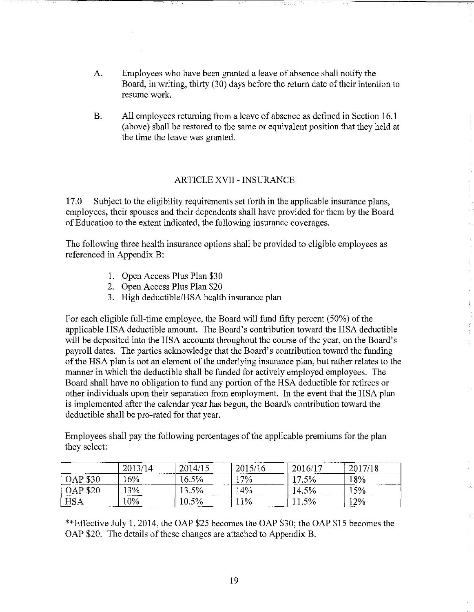- A. Employees who have been granted a leave of absence shall notify the Board, in writing, thirty (30) days before the return date of their intention to resume work.
- B. All employees returning from a leave of absence as defined in Section 16.1 (above) shall be restored to the same or equivalent position that they held at the time the leave was granted.

# ARTICLE XVII- INSURANCE

17.0 Subject to the eligibility requirements set forth in the applicable insurance plans, employees, their spouses and their dependents shall have provided for them by the Board of Education to the extent indicated, the following insurance coverages.

The following three health insurance options shall be provided to eligible employees as referenced in Appendix B:

- 1. Open Access Plus Plan \$30
- 2. Open Access Plus Plan \$20
- 3. High deductible/HSA health insurance plan

For each eligible full-time employee, the Board will fund fifty percent (50%) of the applicable HSA deductible amount. The Board's contribution toward the HSA deductible will be deposited into the HSA accounts throughout the course of the year, on the Board's payroll dates. The parties acknowledge that the Board's contribution toward the funding of the HSA plan is not an element of the underlying insurance plan, but rather relates to the manner in which the deductible shall be funded for actively employed employees. The Board shall have no obligation to fund any portion of the HSA deductible for retirees or other individuals upon their separation from employment. In the event that the HSA plan is implemented after the calendar year has begun, the Board's contribution toward the deductible shall be pro-rated for that year.

Employees shall pay the following percentages of the applicable premiums for the plan they select:

|                 | 2013/14 | 2014/15 | 2015/16 | -------------<br>2016/17 | 2017/18 |
|-----------------|---------|---------|---------|--------------------------|---------|
| <b>OAP \$30</b> | 16%     | 16.5%   | $17\%$  | 17.5%                    | 18%     |
| <b>OAP \$20</b> | 13%     | 13.5%   | 14%     | 14.5%                    | 15%     |
| <b>HSA</b>      | 10%     | 10.5%   | $1\%$   | 11.5%                    | 12%     |

\*\*Effective July 1, 2014, the OAP \$25 becomes the OAP \$30; the OAP \$15 becomes the OAP \$20. The details of these changes are attached to Appendix B.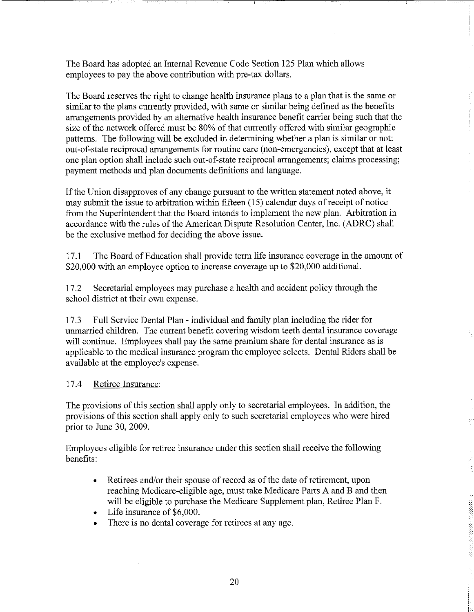The Board has adopted an Internal Revenue Code Section 125 Plan which allows employees to pay the above contribution with pre-tax dollars.

The Board reserves the right to change health insurance plans to a plan that is the same or similar to the plans currently provided, with same or similar being defined as the benefits arrangements provided by an alternative health insurance benefit carrier being such that the size of the network offered must be 80% of that currently offered with similar geographic patterns. The following will be excluded in determining whether a plan is similar or not: out-of-state reciprocal arrangements for routine care (non-emergencies), except that at least one plan option shall include such out-of-state reciprocal arrangements; claims processing; payment methods and plan documents definitions and language.

If the Union disapproves of any change pursuant to the written statement noted above, it may submit the issue to arbitration within fifteen ( 15) calendar days of receipt of notice from the Superintendent that the Board intends to implement the new plan. Arbitration in accordance with the rules of the American Dispute Resolution Center, Inc. (ADRC) shall be the exclusive method for deciding the above issue.

17.1 The Board of Education shall provide term life insurance coverage in the amount of \$20,000 with an employee option to increase coverage up to \$20,000 additional.

17.2 Secretarial employees may purchase a health and accident policy through the school district at their own expense.

17.3 Full Service Dental Plan - individual and family plan including the rider for unmarried children. The current benefit covering wisdom teeth dental insurance coverage will continue. Employees shall pay the same premium share for dental insurance as is applicable to the medical insurance program the employee selects. Dental Riders shall be available at the employee's expense.

### 17.4 Retiree Insurance:

The provisions of this section shall apply only to secretarial employees. In addition, the provisions of this section shall apply only to such secretarial employees who were hired prior to June 30, 2009.

Employees eligible for retiree insurance under this section shall receive the following benefits:

- Retirees and/or their spouse of record as of the date of retirement, upon reaching Medicare-eligible age, must take Medicare Parts A and B and then will be eligible to purchase the Medicare Supplement plan, Retiree Plan F.
- Life insurance of \$6,000.
- There is no dental coverage for retirees at any age.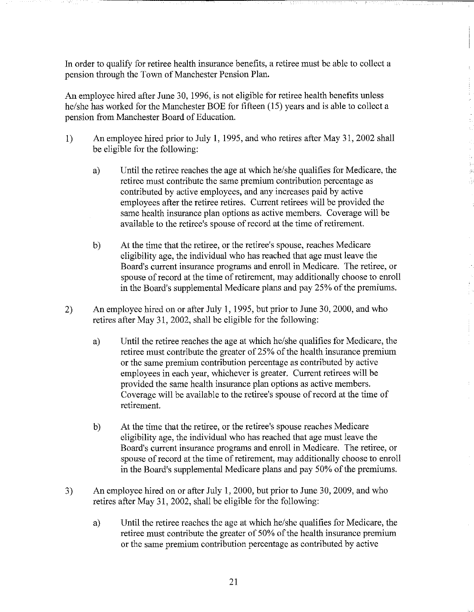In order to qualifY for retiree health insurance benefits, a retiree must be able to collect a pension through the Town of Manchester Pension Plan,

An employee hired after June 30, 1996, is not eligible for retiree health benefits unless he/she has worked for the Manchester BOE for fifteen (15) years and is able to collect a pension from Manchester Board of Education.

- 1) An employee hired prior to July 1, 1995, and who retires after May 31, 2002 shall be eligible for the following:
	- a) Until the retiree reaches the age at which he/she qualifies for Medicare, the retiree must contribute the same premium contribution percentage as contributed by active employees, and any increases paid by active employees after the retiree retires. Current retirees will be provided the same health insurance plan options as active members. Coverage will be available to the retiree's spouse of record at the time of retirement.
	- b) At the time that the retiree, or the retiree's spouse, reaches Medicare eligibility age, the individual who has reached that age must leave the Board's current insurance programs and emoll in Medicare. The retiree, or spouse of record at the time of retirement, may additionally choose to emoll in the Board's supplemental Medicare plans and pay 25% of the premiums.
- 2) An employee hired on or after July 1, 1995, but prior to June 30, 2000, and who retires after May 31, 2002, shall be eligible for the following:
	- a) Until the retiree reaches the age at which he/she qualifies for Medicare, the retiree must contribute the greater of 25% of the health insurance premium or the same premium contribution percentage as contributed by active employees in each year, whichever is greater. Current retirees will be provided the same health insurance plan options as active members. Coverage will be available to the retiree's spouse of record at the time of retirement.
	- b) At the time that the retiree, or the retiree's spouse reaches Medicare eligibility age, the individual who has reached that age must leave the Board's current insurance programs and emoll in Medicare. The retiree, or spouse of record at the time of retirement, may additionally choose to emoll in the Board's supplemental Medicare plans and pay 50% of the premiums.
- 3) An employee hired on or after July 1, 2000, but prior to June 30, 2009, and who retires after May 31, 2002, shall be eligible for the following:
	- a) Until the retiree reaches the age at which he/she qualifies for Medicare, the retiree must contribute the greater of 50% of the health insurance premium or the same premium contribution percentage as contributed by active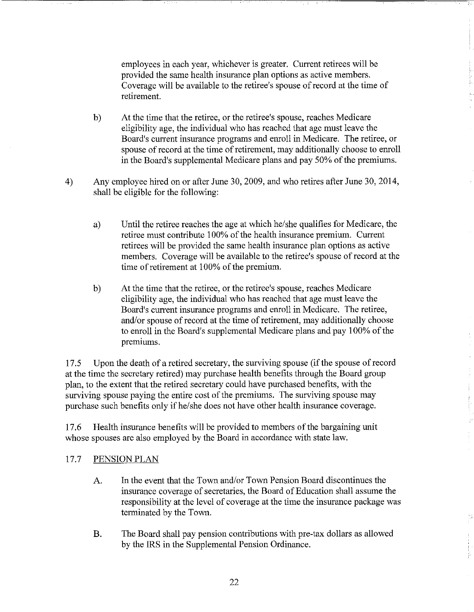employees in each year, whichever is greater. Current retirees will be provided the same health insurance plan options as active members. Coverage will be available to the retiree's spouse of record at the time of retirement.

- b) At the time that the retiree, or the retiree's spouse, reaches Medicare eligibility age, the individual who has reached that age must leave the Board's current insurance programs and enroll in Medicare. The retiree, or spouse of record at the time of retirement, may additionally choose to enroll in the Board's supplemental Medicare plans and pay 50% of the premiums.
- 4) Any employee hired on or after June 30,2009, and who retires after June 30, 2014, shall be eligible for the following:
	- a) Until the retiree reaches the age at which he/she qualifies for Medicare, the retiree must contribute 1 00% of the health insurance premium. Current retirees will be provided the same health insurance plan options as active members. Coverage will be available to the retiree's spouse of record at the time of retirement at 100% of the premium.
	- b) At the time that the retiree, or the retiree's spouse, reaches Medicare eligibility age, the individual who has reached that age must leave the Board's current insurance programs and enroll in Medicare. The retiree, and/or spouse of record at the time of retirement, may additionally choose to enroll in the Board's supplemental Medicare plans and pay 100% of the premiums.

17.5 Upon the death of a retired secretary, the surviving spouse (if the spouse of record at the time the secretary retired) may purchase health benefits through the Board group plan, to the extent that the retired secretary could have purchased benefits, with the surviving spouse paying the entire cost of the premiums. The surviving spouse may purchase such benefits only if he/she does not have other health insurance coverage.

17.6 Health insurance benefits will be provided to members of the bargaining unit whose spouses are also employed by the Board in accordance with state law.

### 17.7 PENSION PLAN

- A. In the event that the Town and/or Town Pension Board discontinues the insurance coverage of secretaries, the Board of Education shall assume the responsibility at the level of coverage at the time the insurance package was terminated by the Town.
- B. The Board shall pay pension contributions with pre-tax dollars as allowed by the IRS in the Supplemental Pension Ordinance.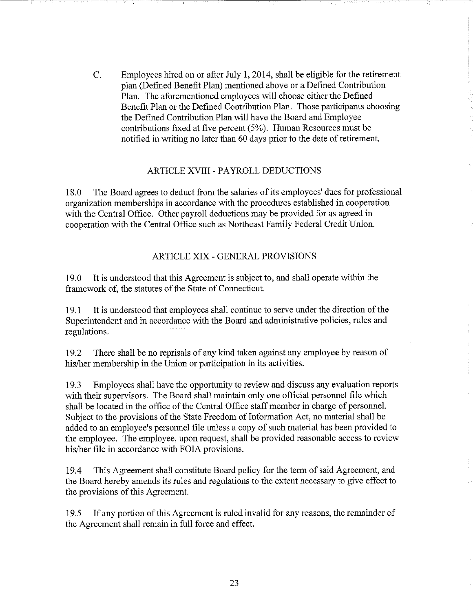C. Employees hired on or after July 1, 2014, shall be eligible for the retirement plan (Defined Benefit Plan) mentioned above or a Defined Contribution Plan. The aforementioned employees will choose either the Defined Benefit Plan or the Defined Contribution Plan. Those participants choosing the Defined Contribution Plan will have the Board and Employee contributions fixed at five percent (5%). Human Resources must be notified in writing no later than 60 days prior to the date of retirement.

### ARTICLE XVIII - PAYROLL DEDUCTIONS

18.0 The Board agrees to deduct from the salaries of its employees' dues for professional organization memberships in accordance with the procedures established in cooperation with the Central Office. Other payroll deductions may be provided for as agreed in cooperation with the Central Office such as Northeast Family Federal Credit Union.

### ARTICLE XIX- GENERAL PROVISIONS

19.0 It is understood that this Agreement is subject to, and shall operate within the framework of, the statutes of the State of Connecticut.

19.1 It is understood that employees shall continue to serve under the direction of the Superintendent and in accordance with the Board and administrative policies, rules and regulations.

19.2 There shall be no reprisals of any kind taken against any employee by reason of his/her membership in the Union or participation in its activities.

19.3 Employees shall have the opportunity to review and discuss any evaluation reports with their supervisors. The Board shall maintain only one official personnel file which shall be located in the office of the Central Office staff member in charge of personnel. Subject to the provisions of the State Freedom of Information Act, no material shall be added to an employee's personnel file unless a copy of such material has been provided to the employee. The employee, upon request, shall be provided reasonable access to review his/her file in accordance with FOIA provisions.

19.4 This Agreement shall constitute Board policy for the term of said Agreement, and the Board hereby amends its rules and regulations to the extent necessary to give effect to the provisions of this Agreement.

19.5 If any portion of this Agreement is ruled invalid for any reasons, the remainder of the Agreement shall remain in full force and effect.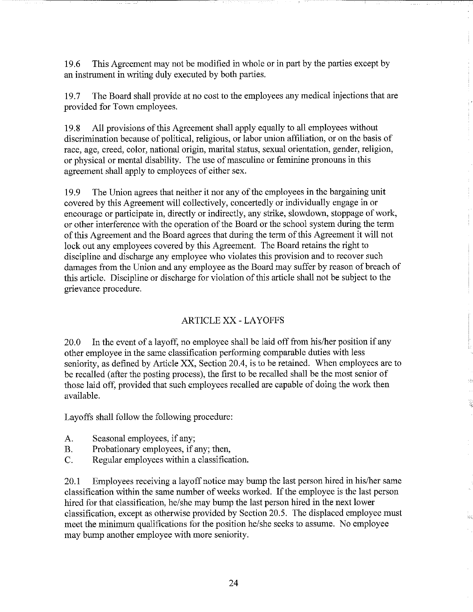19.6 This Agreement may not be modified in whole or in part by the parties except by an instrument in writing duly executed by both parties.

19.7 The Board shall provide at no cost to the employees any medical injections that are provided for Town employees.

19.8 All provisions of this Agreement shall apply equally to all employees without discrimination because of political, religious, or labor union affiliation, or on the basis of race, age, creed, color, national origin, marital status, sexual orientation, gender, religion, or physical or mental disability. The use of masculine or feminine pronouns in this agreement shall apply to employees of either sex.

19.9 The Union agrees that neither it nor any of the employees in the bargaining unit covered by this Agreement will collectively, concertedly or individually engage in or encourage or participate in, directly or indirectly, any strike, slowdown, stoppage of work, or other interference with the operation of the Board or the school system during the term of this Agreement and the Board agrees that during the term of this Agreement it will not lock out any employees covered by this Agreement. The Board retains the right to discipline and discharge any employee who violates this provision and to recover such damages from the Union and any employee as the Board may suffer by reason of breach of this article. Discipline or discharge for violation of this article shall not be subject to the grievance procedure.

### ARTICLE XX- LAYOFFS

20.0 In the event of a layoff, no employee shall be laid off from his/her position if any other employee in the same classification performing comparable duties with less seniority, as defined by Article XX, Section 20.4, is to be retained. When employees are to be recalled (after the posting process), the first to be recalled shall be the most senior of those laid off, provided that such employees recalled are capable of doing the work then available.

Layoffs shall follow the following procedure:

- A. Seasonal employees, if any;
- B. Probationary employees, if any; then,
- C. Regular employees within a classification.

20.1 Employees receiving a layoff notice may bump the last person hired in his/her same classification within the same number of weeks worked. If the employee is the last person hired for that classification, he/she may bump the last person hired in the next lower classification, except as otherwise provided by Section 20.5. The displaced employee must meet the minimum qualifications for the position he/she seeks to assume. No employee may bump another employee with more seniority.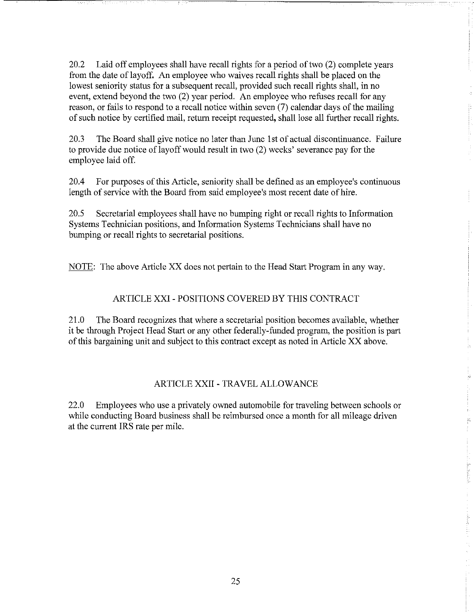20.2 Laid off employees shall have recall rights for a period of two (2) complete years from the date of layoff. An employee who waives recall rights shall be placed on the lowest seniority status for a subsequent recall, provided such recall rights shall, in no event, extend beyond the two (2) year period. An employee who refuses recall for any reason, or fails to respond to a recall notice within seven (7) calendar days of the mailing of such notice by certified mail, return receipt requested, shall lose all further recall rights.

20.3 The Board shall give notice no later than June 1st of actual discontinuance. Failure to provide due notice of layoff would result in two (2) weeks' severance pay for the employee laid off.

20.4 For purposes of this Article, seniority shall be defined as an employee's continuous length of service with the Board from said employee's most recent date of hire.

20.5 Secretarial employees shall have no bumping right or recall rights to Information Systems Technician positions, and Information Systems Technicians shall have no bumping or recall rights to secretarial positions.

NOTE: The above Article XX does not pertain to the Head Start Program in any way.

### ARTICLE XXI- POSITIONS COVERED BY THIS CONTRACT

21.0 The Board recognizes that where a secretarial position becomes available, whether it be through Project Head Start or any other federally-funded program, the position is part of this bargaining unit and subject to this contract except as noted in Article XX above.

#### ARTICLE XXII-TRAVEL ALLOWANCE

22.0 Employees who use a privately owned automobile for traveling between schools or while conducting Board business shall be reimbursed once a month for all mileage driven at the current IRS rate per mile.

r---·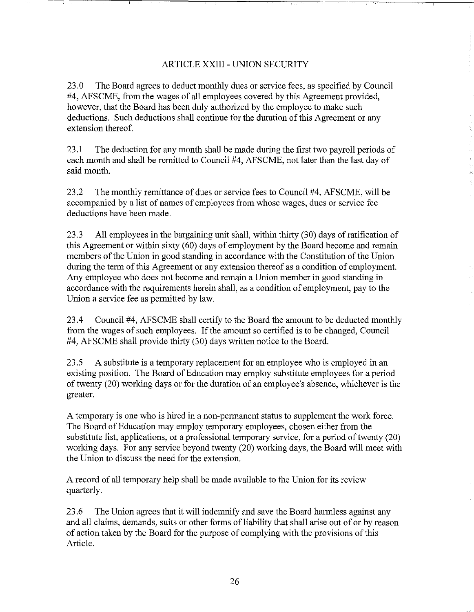### ARTICLE XXIII- UNION SECURITY

23.0 The Board agrees to deduct monthly dues or service fees, as specified by Council #4, AFSCME, from the wages of all employees covered by this Agreement provided, however, that the Board has been duly authorized by the employee to make such deductions. Such deductions shall continue for the duration of this Agreement or any extension thereof.

23.1 The deduction for any month shall be made during the first two payroll periods of each month and shall be remitted to Council #4, AFSCME, not later than the last day of said month.

23.2 The monthly remittance of dues or service fees to Council #4, AFSCME, will be accompanied by a list of names of employees from whose wages, dues or service fee deductions have been made.

23.3 All employees in the bargaining unit shall, within thirty (30) days of ratification of this Agreement or within sixty (60) days of employment by the Board become and remain members of the Union in good standing in accordance with the Constitution of the Union during the term of this Agreement or any extension thereof as a condition of employment. Any employee who does not become and remain a Union member in good standing in accordance with the requirements herein shall, as a condition of employment, pay to the Union a service fee as permitted by law.

23.4 Council #4, AFSCME shall certify to the Board the amount to be deducted monthly from the wages of such employees. If the amount so certified is to be changed, Council #4, AFSCME shall provide thirty (30) days written notice to the Board.

23.5 A substitute is a temporary replacement for an employee who is employed in an existing position. The Board of Education may employ substitute employees for a period of twenty (20) working days or for the duration of an employee's absence, whichever is the greater.

A temporary is one who is hired in a non-permanent status to supplement the work force. The Board of Education may employ temporary employees, chosen either from the substitute list, applications, or a professional temporary service, for a period of twenty (20) working days. For any service beyond twenty (20) working days, the Board will meet with the Union to discuss the need for the extension.

A record of all temporary help shall be made available to the Union for its review quarterly.

23.6 The Union agrees that it will indenmify and save the Board harmless against any and all claims, demands, suits or other forms of liability that shall arise out of or by reason of action taken by the Board for the purpose of complying with the provisions of this Article.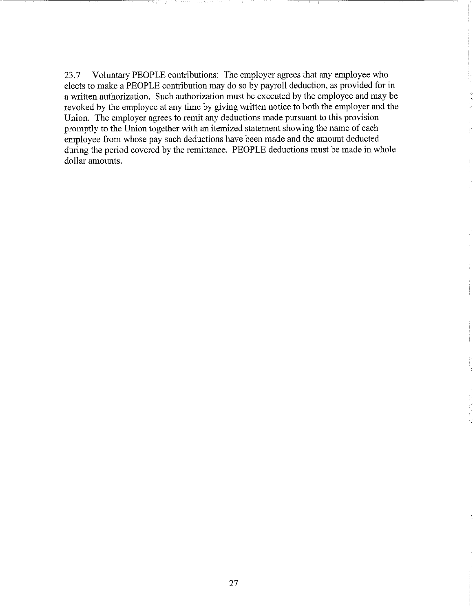23.7 Voluntary PEOPLE contributions: The employer agrees that any employee who elects to make a PEOPLE contribution may do so by payroll deduction, as provided for in a written authorization. Such authorization must be executed by the employee and may be revoked by the employee at any time by giving written notice to both the employer and the Union. The employer agrees to remit any deductions made pursuant to this provision promptly to the Union together with an itemized statement showing the name of each employee from whose pay such deductions have been made and the amount deducted during the period covered by the remittance. PEOPLE deductions must be made in whole dollar amounts.

--------,....-,-------c--,----- --------- ~------,------,--------~-----~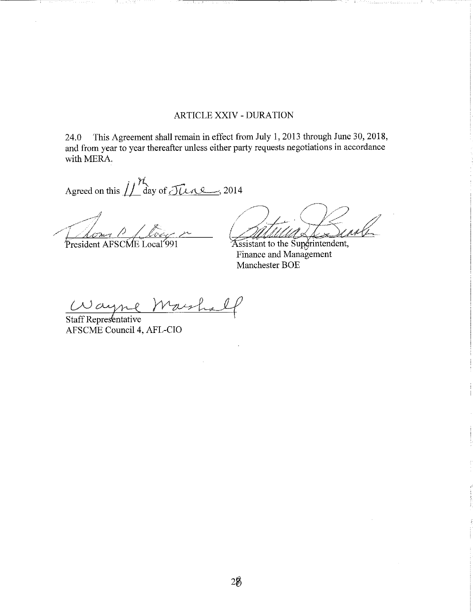# ARTICLE XXIV- DURATION

-- -----,--------;- ---------,----,------,---------,--------~--

24.0 This Agreement shall remain in effect from July 1, 2013 through June 30,2018, and from year to year thereafter unless either party requests negotiations in accordance with MERA.

Agreed on this  $\iiint_{\text{day of}} \widehat{J}_{L} \widehat{l}$ . 2014

President AFSCME Local 991

and the first state of the

.rintendent, Finance and Management Manchester BOE

Wayne Marsha

AFSCME Council4, AFL-CIO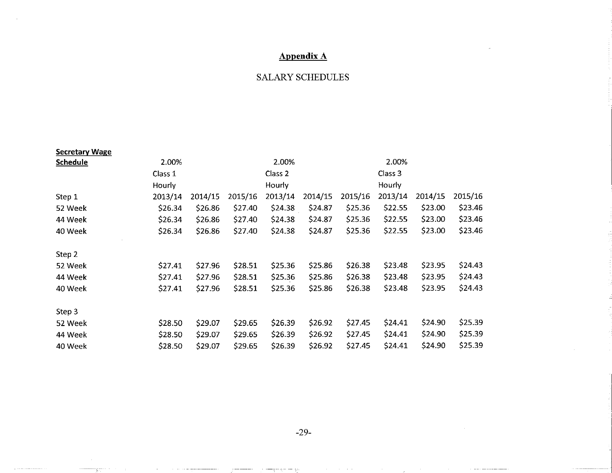# **Appendix A**

# SALARY SCHEDULES

| <b>Secretary Wage</b> |         |         |         |                    |         |         |         |         |         |
|-----------------------|---------|---------|---------|--------------------|---------|---------|---------|---------|---------|
| <b>Schedule</b>       | 2.00%   | 2.00%   |         |                    | 2.00%   |         |         |         |         |
|                       | Class 1 |         |         | Class <sub>2</sub> |         |         | Class 3 |         |         |
|                       | Hourly  |         |         | Hourly             |         |         | Hourly  |         |         |
| Step 1                | 2013/14 | 2014/15 | 2015/16 | 2013/14            | 2014/15 | 2015/16 | 2013/14 | 2014/15 | 2015/16 |
| 52 Week               | \$26.34 | \$26.86 | \$27.40 | \$24.38            | \$24.87 | \$25.36 | \$22.55 | \$23.00 | \$23.46 |
| 44 Week               | \$26.34 | \$26.86 | \$27.40 | \$24.38            | S24.87  | \$25.36 | \$22.55 | \$23.00 | \$23.46 |
| 40 Week               | \$26.34 | \$26.86 | \$27.40 | \$24.38            | \$24.87 | \$25.36 | \$22.55 | \$23.00 | \$23.46 |
| Step 2                |         |         |         |                    |         |         |         |         |         |
| 52 Week               | \$27.41 | \$27.96 | \$28.51 | \$25.36            | \$25.86 | \$26.38 | \$23.48 | \$23.95 | \$24.43 |
| 44 Week               | \$27.41 | \$27.96 | \$28.51 | \$25.36            | \$25.86 | \$26.38 | \$23.48 | \$23.95 | \$24.43 |
| 40 Week               | \$27.41 | \$27.96 | \$28.51 | \$25.36            | \$25.86 | \$26.38 | \$23.48 | \$23.95 | \$24.43 |
| Step 3                |         |         |         |                    |         |         |         |         |         |
| 52 Week               | \$28.50 | \$29.07 | \$29.65 | \$26.39            | \$26.92 | \$27.45 | \$24.41 | \$24.90 | \$25.39 |
| 44 Week               | \$28.50 | \$29.07 | \$29.65 | \$26.39            | \$26.92 | \$27.45 | \$24.41 | \$24.90 | \$25.39 |
| 40 Week               | \$28.50 | \$29.07 | \$29.65 | \$26.39            | \$26.92 | \$27.45 | \$24.41 | \$24.90 | \$25.39 |

-29-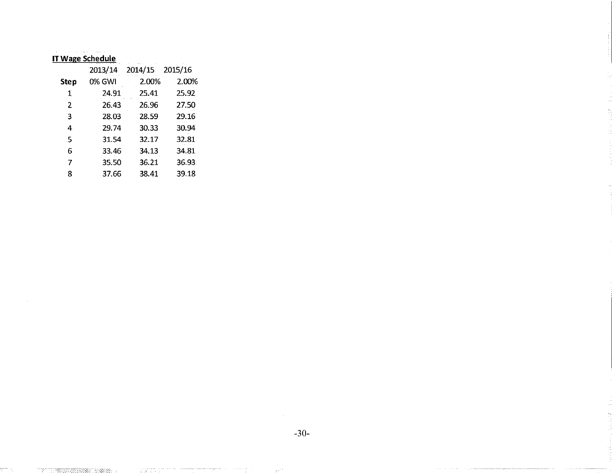# **IT Wage Schedule**

 $\pm$  -  $\sqrt[3]{\alpha_1^2+\cdots+\alpha_n^2}$  ,  $\pm$   $\pm$   $\pm$   $\pm$   $\pm$   $\pm$ 

|                | 2013/14 | 2014/15 2015/16 |                                                                          |
|----------------|---------|-----------------|--------------------------------------------------------------------------|
| <b>Step</b>    | 0% GWI  | 2.00%           | 2.00%                                                                    |
| 1              | 24.91   | 25.41           | 25.92                                                                    |
| $\overline{2}$ | 26.43   | 26.96           | 27.50                                                                    |
| 3              | 28.03   | 28.59           | 29.16                                                                    |
| 4              | 29.74   | 30.33           | 30.94                                                                    |
| 5.             | 31.54   | 32.17           | 32.81<br>$\alpha$ , $\alpha$ , $\alpha$ , $\alpha$ , $\alpha$ , $\alpha$ |
| 6              | 33.46   | 34.13           | 34.81                                                                    |
| 7              | 35.50   | 36.21           | 36.93                                                                    |
| 8              | 37.66   | 38.41           | 39.18                                                                    |